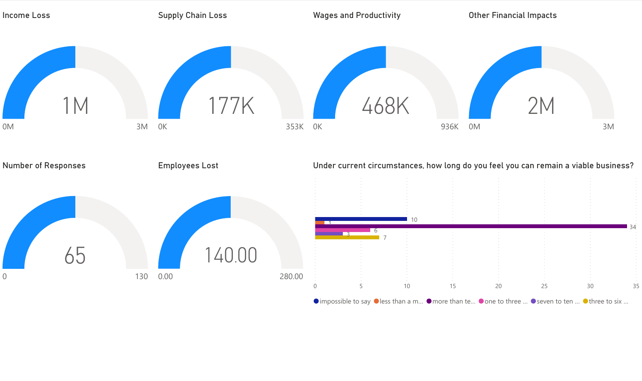

 $\bullet$  impossible to say  $\bullet$  less than a m...  $\bullet$  more than te...  $\bullet$  one to three ...  $\bullet$  seven to ten ...  $\bullet$  three to six ...